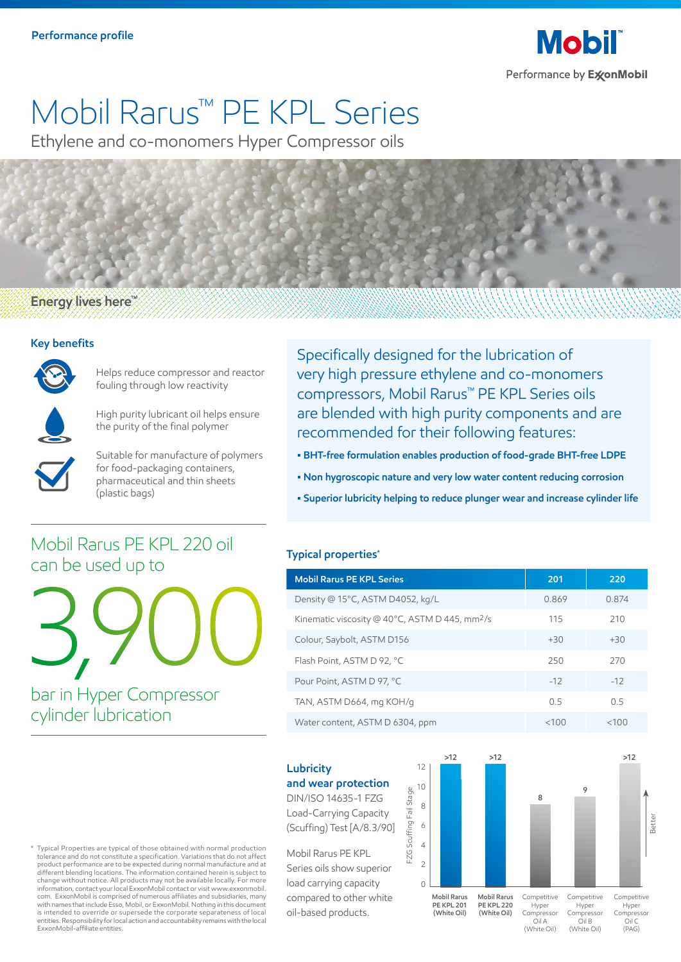

# Mobil Rarus™ PE KPL Series

Ethylene and co-monomers Hyper Compressor oils

#### Energy lives here<sup>"</sup>

#### **Key benefits**



Helps reduce compressor and reactor fouling through low reactivity



High purity lubricant oil helps ensure the purity of the final polymer



Suitable for manufacture of polymers for food-packaging containers, pharmaceutical and thin sheets (plastic bags)

Specifically designed for the lubrication of very high pressure ethylene and co-monomers compressors, Mobil Rarus™ PE KPL Series oils are blended with high purity components and are recommended for their following features:

- **BHT-free formulation enables production of food-grade BHT-free LDPE**
- **Non hygroscopic nature and very low water content reducing corrosion**
- **Superior lubricity helping to reduce plunger wear and increase cylinder life**

#### **Typical properties\***

| <b>Mobil Rarus PE KPL Series</b>                           | 201   | 220   |
|------------------------------------------------------------|-------|-------|
| Density @ 15°C, ASTM D4052, kg/L                           | 0.869 | 0.874 |
| Kinematic viscosity @ 40°C, ASTM D 445, mm <sup>2</sup> /s | 115   | 210   |
| Colour, Saybolt, ASTM D156                                 | $+30$ | $+30$ |
| Flash Point, ASTM D 92, °C                                 | 250   | 270   |
| Pour Point, ASTM D 97, °C                                  | $-12$ | $-12$ |
| TAN, ASTM D664, mg KOH/g                                   | 0.5   | 05    |
| Water content, ASTM D 6304, ppm                            | <100  | <100  |

### **Lubricity**

#### **and wear protection**

DIN/ISO 14635-1 FZG Load-Carrying Capacity (Scuffing) Test [A/8.3/90]

Mobil Rarus PE KPL Series oils show superior load carrying capacity compared to other white oil-based products.



\* Typical Properties are typical of those obtained with normal production tolerance and do not constitute a specification. Variations that do not affect product performance are to be expected during normal manufacture and at different blending locations. The information contained herein is subject to change without notice. All products may not be available locally. For more information, contact your local ExxonMobil contact or visit www.exxonmobil. com. ExxonMobil is comprised of numerous affiliates and subsidiaries, many with names that include Esso, Mobil, or ExxonMobil. Nothing in this document is intended to override or supersede the corporate separateness of local entities. Responsibility for local action and accountability remains with the local ExxonMobil-affiliate entities.

bar in Hyper Compressor

Mobil Rarus PE KPL 220 oil

3,900

cylinder lubrication

can be used up to